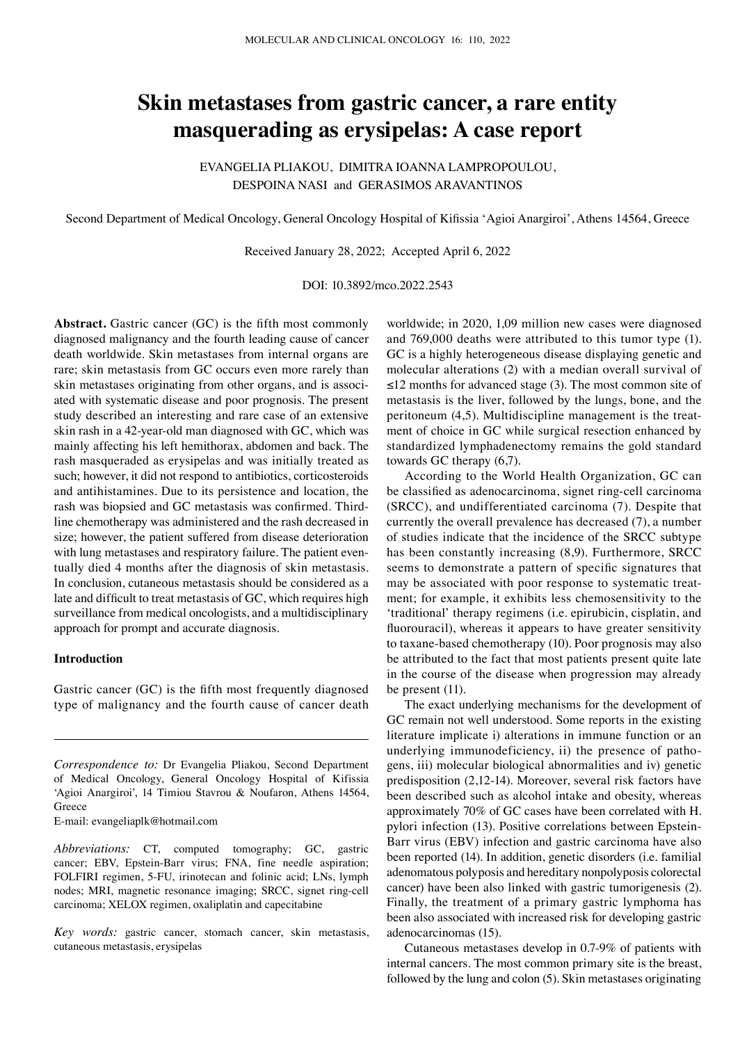# **Skin metastases from gastric cancer, a rare entity masquerading as erysipelas: A case report**

EVANGELIA PLIAKOU, DIMITRA IOANNA LAMPROPOULOU, DESPOINA NASI and GERASIMOS ARAVANTINOS

Second Department of Medical Oncology, General Oncology Hospital of Kifissia 'Agioi Anargiroi', Athens 14564, Greece

Received January 28, 2022; Accepted April 6, 2022

DOI: 10.3892/mco.2022.2543

**Abstract.** Gastric cancer (GC) is the fifth most commonly diagnosed malignancy and the fourth leading cause of cancer death worldwide. Skin metastases from internal organs are rare; skin metastasis from GC occurs even more rarely than skin metastases originating from other organs, and is associated with systematic disease and poor prognosis. The present study described an interesting and rare case of an extensive skin rash in a 42-year-old man diagnosed with GC, which was mainly affecting his left hemithorax, abdomen and back. The rash masqueraded as erysipelas and was initially treated as such; however, it did not respond to antibiotics, corticosteroids and antihistamines. Due to its persistence and location, the rash was biopsied and GC metastasis was confirmed. Thirdline chemotherapy was administered and the rash decreased in size; however, the patient suffered from disease deterioration with lung metastases and respiratory failure. The patient eventually died 4 months after the diagnosis of skin metastasis. In conclusion, cutaneous metastasis should be considered as a late and difficult to treat metastasis of GC, which requires high surveillance from medical oncologists, and a multidisciplinary approach for prompt and accurate diagnosis.

## **Introduction**

Gastric cancer (GC) is the fifth most frequently diagnosed type of malignancy and the fourth cause of cancer death

E-mail: evangeliaplk@hotmail.com

*Abbreviations:* CT, computed tomography; GC, gastric cancer; EBV, Epstein-Barr virus; FNA, fine needle aspiration; FOLFIRI regimen, 5-FU, irinotecan and folinic acid; LNs, lymph nodes; MRI, magnetic resonance imaging; SRCC, signet ring-cell carcinoma; XELOX regimen, oxaliplatin and capecitabine

*Key words:* gastric cancer, stomach cancer, skin metastasis, cutaneous metastasis, erysipelas

worldwide; in 2020, 1,09 million new cases were diagnosed and 769,000 deaths were attributed to this tumor type (1). GC is a highly heterogeneous disease displaying genetic and molecular alterations (2) with a median overall survival of ≤12 months for advanced stage (3). The most common site of metastasis is the liver, followed by the lungs, bone, and the peritoneum (4,5). Multidiscipline management is the treatment of choice in GC while surgical resection enhanced by standardized lymphadenectomy remains the gold standard towards GC therapy (6,7).

According to the World Health Organization, GC can be classified as adenocarcinoma, signet ring-cell carcinoma (SRCC), and undifferentiated carcinoma (7). Despite that currently the overall prevalence has decreased (7), a number of studies indicate that the incidence of the SRCC subtype has been constantly increasing (8,9). Furthermore, SRCC seems to demonstrate a pattern of specific signatures that may be associated with poor response to systematic treatment; for example, it exhibits less chemosensitivity to the 'traditional' therapy regimens (i.e. epirubicin, cisplatin, and fluorouracil), whereas it appears to have greater sensitivity to taxane-based chemotherapy (10). Poor prognosis may also be attributed to the fact that most patients present quite late in the course of the disease when progression may already be present (11).

The exact underlying mechanisms for the development of GC remain not well understood. Some reports in the existing literature implicate i) alterations in immune function or an underlying immunodeficiency, ii) the presence of pathogens, iii) molecular biological abnormalities and iv) genetic predisposition (2,12-14). Moreover, several risk factors have been described such as alcohol intake and obesity, whereas approximately 70% of GC cases have been correlated with H. pylori infection (13). Positive correlations between Epstein-Barr virus (EBV) infection and gastric carcinoma have also been reported (14). In addition, genetic disorders (i.e. familial adenomatous polyposis and hereditary nonpolyposis colorectal cancer) have been also linked with gastric tumorigenesis (2). Finally, the treatment of a primary gastric lymphoma has been also associated with increased risk for developing gastric adenocarcinomas (15).

Cutaneous metastases develop in 0.7-9% of patients with internal cancers. The most common primary site is the breast, followed by the lung and colon (5). Skin metastases originating

*Correspondence to:* Dr Evangelia Pliakou, Second Department of Medical Oncology, General Oncology Hospital of Kifissia 'Agioi Anargiroi', 14 Timiou Stavrou & Noufaron, Athens 14564, Greece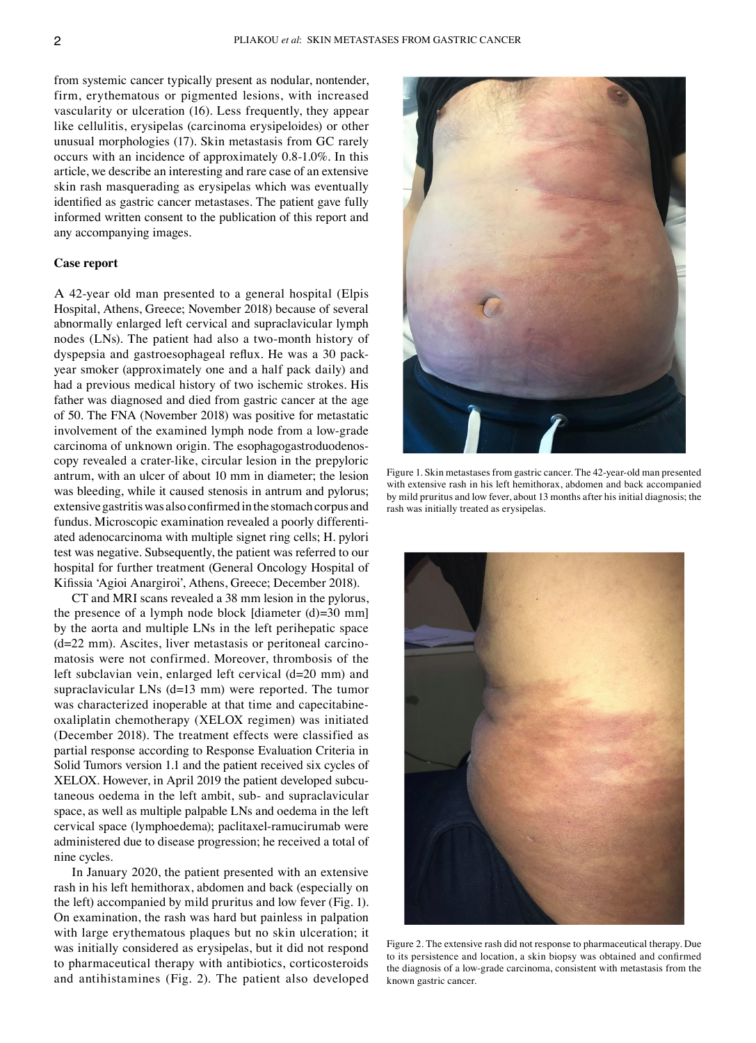from systemic cancer typically present as nodular, nontender, firm, erythematous or pigmented lesions, with increased vascularity or ulceration (16). Less frequently, they appear like cellulitis, erysipelas (carcinoma erysipeloides) or other unusual morphologies (17). Skin metastasis from GC rarely occurs with an incidence of approximately 0.8-1.0%. In this article, we describe an interesting and rare case of an extensive skin rash masquerading as erysipelas which was eventually identified as gastric cancer metastases. The patient gave fully informed written consent to the publication of this report and any accompanying images.

# **Case report**

Α 42-year old man presented to a general hospital (Elpis Hospital, Athens, Greece; November 2018) because of several abnormally enlarged left cervical and supraclavicular lymph nodes (LNs). The patient had also a two-month history of dyspepsia and gastroesophageal reflux. He was a 30 packyear smoker (approximately one and a half pack daily) and had a previous medical history of two ischemic strokes. His father was diagnosed and died from gastric cancer at the age of 50. The FNA (November 2018) was positive for metastatic involvement of the examined lymph node from a low-grade carcinoma of unknown origin. The esophagogastroduodenoscopy revealed a crater-like, circular lesion in the prepyloric antrum, with an ulcer of about 10 mm in diameter; the lesion was bleeding, while it caused stenosis in antrum and pylorus; extensive gastritis was also confirmed in the stomach corpus and fundus. Microscopic examination revealed a poorly differentiated adenocarcinoma with multiple signet ring cells; H. pylori test was negative. Subsequently, the patient was referred to our hospital for further treatment (General Oncology Hospital of Kifissia 'Agioi Anargiroi', Athens, Greece; December 2018).

CT and MRI scans revealed a 38 mm lesion in the pylorus, the presence of a lymph node block [diameter  $(d)=30$  mm] by the aorta and multiple LNs in the left perihepatic space (d=22 mm). Ascites, liver metastasis or peritoneal carcinomatosis were not confirmed. Moreover, thrombosis of the left subclavian vein, enlarged left cervical (d=20 mm) and supraclavicular LNs (d=13 mm) were reported. The tumor was characterized inoperable at that time and capecitabineoxaliplatin chemotherapy (XELOX regimen) was initiated (December 2018). The treatment effects were classified as partial response according to Response Evaluation Criteria in Solid Tumors version 1.1 and the patient received six cycles of XELOX. However, in April 2019 the patient developed subcutaneous oedema in the left ambit, sub- and supraclavicular space, as well as multiple palpable LNs and oedema in the left cervical space (lymphoedema); paclitaxel-ramucirumab were administered due to disease progression; he received a total of nine cycles.

In January 2020, the patient presented with an extensive rash in his left hemithorax, abdomen and back (especially on the left) accompanied by mild pruritus and low fever (Fig. 1). On examination, the rash was hard but painless in palpation with large erythematous plaques but no skin ulceration; it was initially considered as erysipelas, but it did not respond to pharmaceutical therapy with antibiotics, corticosteroids and antihistamines (Fig. 2). The patient also developed



Figure 1. Skin metastases from gastric cancer. The 42-year-old man presented with extensive rash in his left hemithorax, abdomen and back accompanied by mild pruritus and low fever, about 13 months after his initial diagnosis; the rash was initially treated as erysipelas.



Figure 2. The extensive rash did not response to pharmaceutical therapy. Due to its persistence and location, a skin biopsy was obtained and confirmed the diagnosis of a low-grade carcinoma, consistent with metastasis from the known gastric cancer.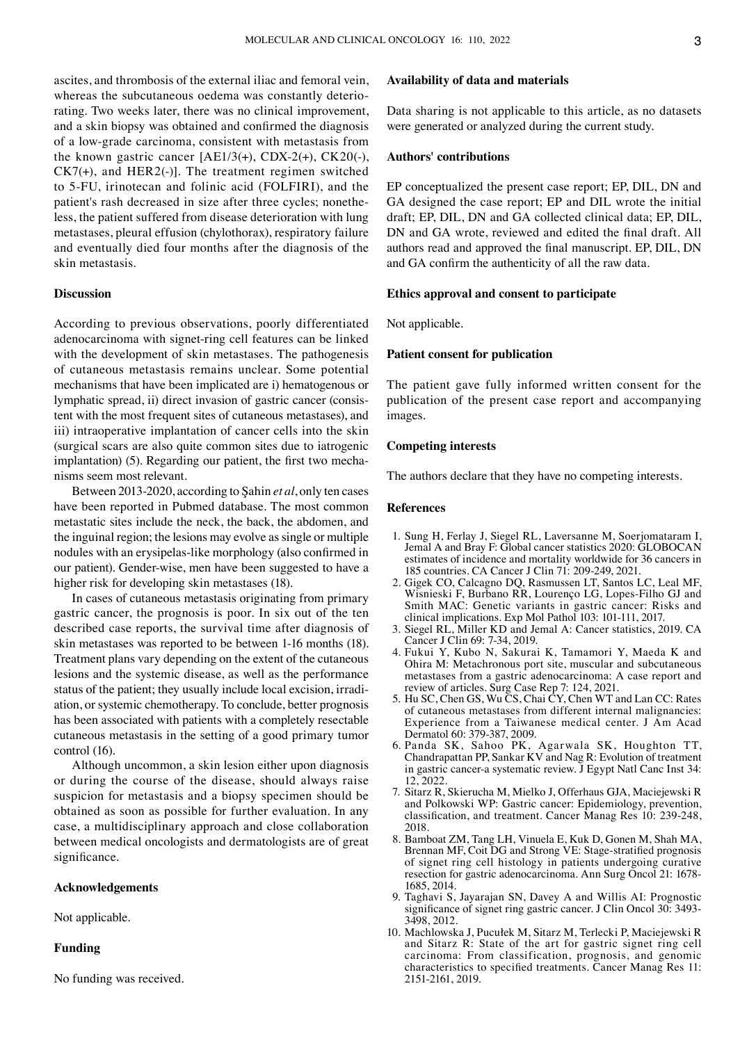ascites, and thrombosis of the external iliac and femoral vein, whereas the subcutaneous oedema was constantly deteriorating. Two weeks later, there was no clinical improvement, and a skin biopsy was obtained and confirmed the diagnosis of a low-grade carcinoma, consistent with metastasis from the known gastric cancer  $[AE1/3(+), CDX-2(+), CK20(-),$  $CK7(+)$ , and HER2(-)]. The treatment regimen switched to 5-FU, irinotecan and folinic acid (FOLFIRI), and the patient's rash decreased in size after three cycles; nonetheless, the patient suffered from disease deterioration with lung metastases, pleural effusion (chylothorax), respiratory failure and eventually died four months after the diagnosis of the skin metastasis.

# **Discussion**

According to previous observations, poorly differentiated adenocarcinoma with signet-ring cell features can be linked with the development of skin metastases. The pathogenesis of cutaneous metastasis remains unclear. Some potential mechanisms that have been implicated are i) hematogenous or lymphatic spread, ii) direct invasion of gastric cancer (consistent with the most frequent sites of cutaneous metastases), and iii) intraoperative implantation of cancer cells into the skin (surgical scars are also quite common sites due to iatrogenic implantation) (5). Regarding our patient, the first two mechanisms seem most relevant.

Between 2013-2020, according to Şahin *et al*, only ten cases have been reported in Pubmed database. The most common metastatic sites include the neck, the back, the abdomen, and the inguinal region; the lesions may evolve as single or multiple nodules with an erysipelas-like morphology (also confirmed in our patient). Gender-wise, men have been suggested to have a higher risk for developing skin metastases (18).

In cases of cutaneous metastasis originating from primary gastric cancer, the prognosis is poor. In six out of the ten described case reports, the survival time after diagnosis of skin metastases was reported to be between 1-16 months (18). Treatment plans vary depending on the extent of the cutaneous lesions and the systemic disease, as well as the performance status of the patient; they usually include local excision, irradiation, or systemic chemotherapy. To conclude, better prognosis has been associated with patients with a completely resectable cutaneous metastasis in the setting of a good primary tumor control (16).

Although uncommon, a skin lesion either upon diagnosis or during the course of the disease, should always raise suspicion for metastasis and a biopsy specimen should be obtained as soon as possible for further evaluation. In any case, a multidisciplinary approach and close collaboration between medical oncologists and dermatologists are of great significance.

## **Acknowledgements**

Not applicable.

# **Funding**

No funding was received.

# **Availability of data and materials**

Data sharing is not applicable to this article, as no datasets were generated or analyzed during the current study.

#### **Authors' contributions**

EP conceptualized the present case report; EP, DIL, DN and GA designed the case report; EP and DIL wrote the initial draft; EP, DIL, DN and GA collected clinical data; EP, DIL, DN and GA wrote, reviewed and edited the final draft. All authors read and approved the final manuscript. EP, DIL, DN and GA confirm the authenticity of all the raw data.

#### **Ethics approval and consent to participate**

Not applicable.

# **Patient consent for publication**

The patient gave fully informed written consent for the publication of the present case report and accompanying images.

## **Competing interests**

The authors declare that they have no competing interests.

#### **References**

- 1. Sung H, Ferlay J, Siegel RL, Laversanne M, Soerjomataram I, Jemal A and Bray F: Global cancer statistics 2020: GLOBOCAN estimates of incidence and mortality worldwide for 36 cancers in 185 countries. CA Cancer J Clin 71: 209-249, 2021.
- 2. Gigek CO, Calcagno DQ, Rasmussen LT, Santos LC, Leal MF, Wisnieski F, Burbano RR, Lourenço LG, Lopes-Filho GJ and Smith MAC: Genetic variants in gastric cancer: Risks and clinical implications. Exp Mol Pathol 103: 101-111, 2017.
- 3. Siegel RL, Miller KD and Jemal A: Cancer statistics, 2019. CA Cancer J Clin 69: 7-34, 2019.
- 4. Fukui Y, Kubo N, Sakurai K, Tamamori Y, Maeda K and Ohira M: Metachronous port site, muscular and subcutaneous metastases from a gastric adenocarcinoma: A case report and review of articles. Surg Case Rep 7: 124, 2021.
- 5. Hu SC, Chen GS, Wu CS, Chai CY, Chen WT and Lan CC: Rates of cutaneous metastases from different internal malignancies: Experience from a Taiwanese medical center. J Am Acad Dermatol 60: 379-387, 2009.
- 6. Panda SK, Sahoo PK, Agarwala SK, Houghton TT, Chandrapattan PP, Sankar KV and Nag R: Evolution of treatment in gastric cancer-a systematic review. J Egypt Natl Canc Inst 34: 12, 2022.
- 7. Sitarz R, Skierucha M, Mielko J, Offerhaus GJA, Maciejewski R and Polkowski WP: Gastric cancer: Epidemiology, prevention, classification, and treatment. Cancer Manag Res 10: 239-248, 2018.
- 8. Bamboat ZM, Tang LH, Vinuela E, Kuk D, Gonen M, Shah MA, Brennan MF, Coit DG and Strong VE: Stage-stratified prognosis of signet ring cell histology in patients undergoing curative resection for gastric adenocarcinoma. Ann Surg Oncol 21: 1678- 1685, 2014.
- 9. Taghavi S, Jayarajan SN, Davey A and Willis AI: Prognostic significance of signet ring gastric cancer. J Clin Oncol 30: 3493- 3498, 2012.
- 10. Machlowska J, Pucułek M, Sitarz M, Terlecki P, Maciejewski R and Sitarz R: State of the art for gastric signet ring cell carcinoma: From classification, prognosis, and genomic characteristics to specified treatments. Cancer Manag Res 11: 2151-2161, 2019.